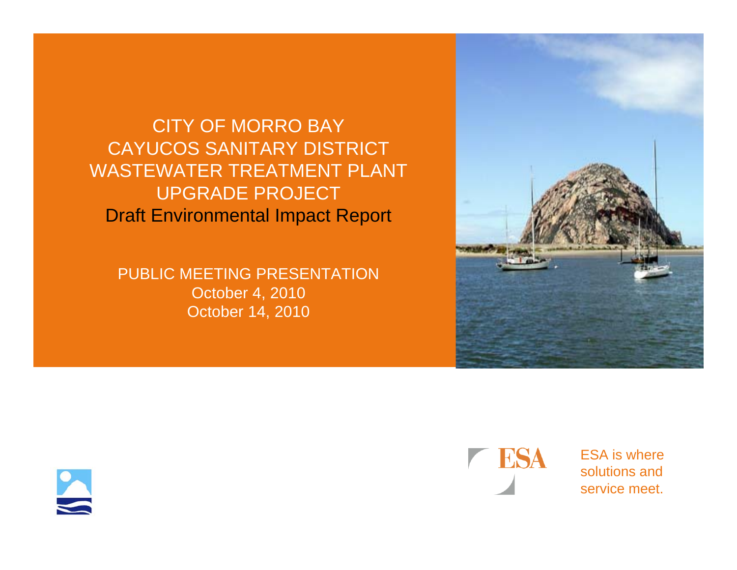CITY OF MORRO BAY CAYUCOS SANITARY DISTRICT WASTEWATER TREATMENT PLANT UPGRADE PROJECT Draft Environmental Impact Report

PUBLIC MEETING PRESENTATION October 4, 2010 October 14, 2010







ESA is wheresolutions andservice meet.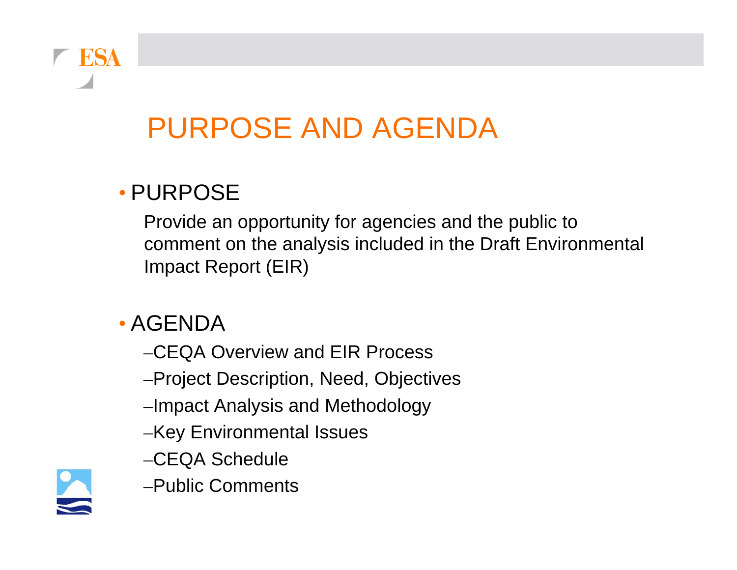

### PURPOSE AND AGENDA

#### • PURPOSE

Provide an opportunity for agencies and the public to comment on the analysis included in the Draft Environmental Impact Report (EIR)

- AGENDA
	- –CEQA Overview and EIR Process
	- –Project Description, Need, Objectives
	- –Impact Analysis and Methodology
	- –Key Environmental Issues
	- –CEQA Schedule
- 
- –Public Comments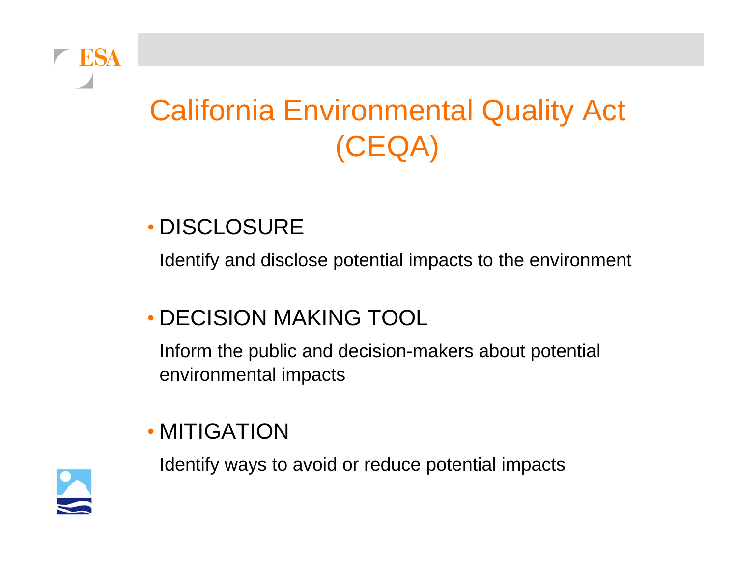

## California Environmental Quality Act (CEQA)

#### • DISCLOSURE

Identify and disclose potential impacts to the environment

#### • DECISION MAKING TOOL

Inform the public and decision-makers about potential environmental impacts

#### • MITIGATION

Identify ways to avoid or reduce potential impacts

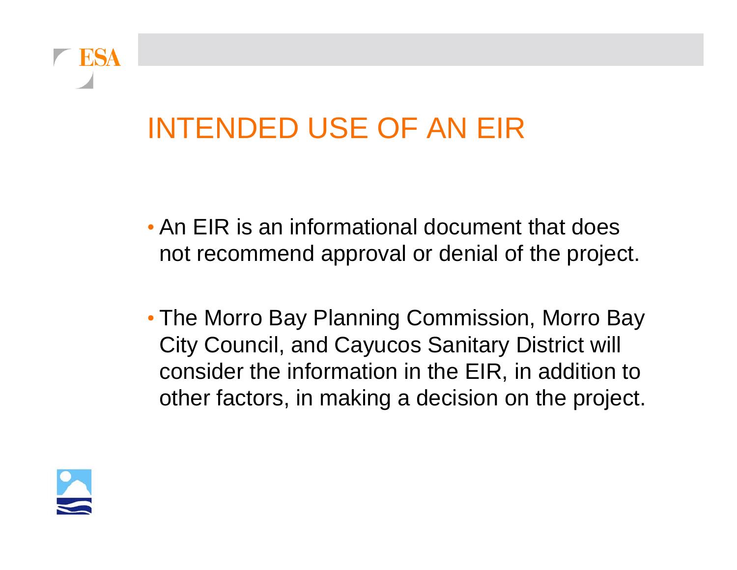

### INTENDED USE OF AN EIR

- An EIR is an informational document that does not recommend approval or denial of the project.
- The Morro Bay Planning Commission, Morro Bay City Council, and Cayucos Sanitary District will consider the information in the EIR, in addition to other factors, in making a decision on the project.

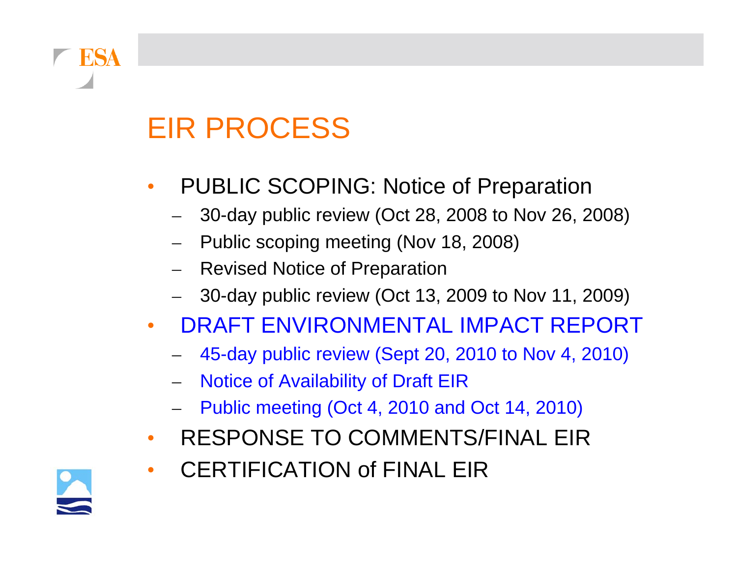## EIR PROCESS

- • PUBLIC SCOPING: Notice of Preparation
	- –30-day public review (Oct 28, 2008 to Nov 26, 2008)
	- Public scoping meeting (Nov 18, 2008)
	- Revised Notice of Preparation
	- 30-day public review (Oct 13, 2009 to Nov 11, 2009)
- • DRAFT ENVIRONMENTAL IMPACT REPORT
	- 45-day public review (Sept 20, 2010 to Nov 4, 2010)
	- Notice of Availability of Draft EIR
	- Public meeting (Oct 4, 2010 and Oct 14, 2010)
- •RESPONSE TO COMMENTS/FINAL EIR



**FSA** 

•

CERTIFICATION of FINAL EIR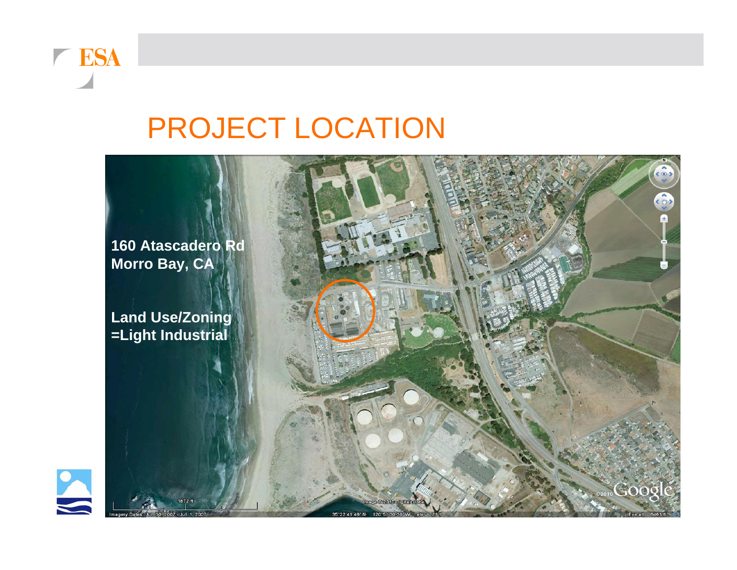

### PROJECT LOCATION

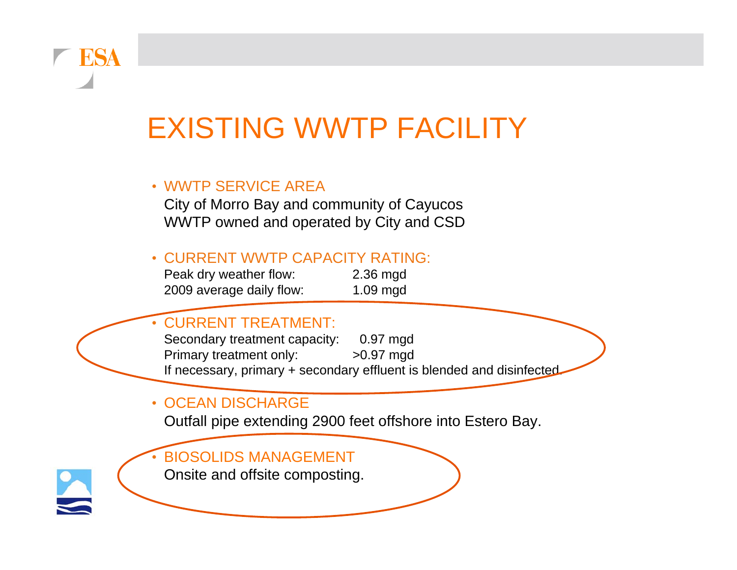### EXISTING WWTP FACILITY

#### • WWTP SERVICE AREA

City of Morro Bay and community of Cayucos WWTP owned and operated by City and CSD

#### • CURRENT WWTP CAPACITY RATING:

Peak dry weather flow: 2.36 mgd 2009 average daily flow: 1.09 mgd

#### •CURRENT TREATMENT:

Secondary treatment capacity: 0.97 mgd Primary treatment only: >0.97 mgd If necessary, primary + secondary effluent is blended and disinfected

#### • OCEAN DISCHARGE

Outfall pipe extending 2900 feet offshore into Estero Bay.

#### •BIOSOLIDS MANAGEMENT

Onsite and offsite composting.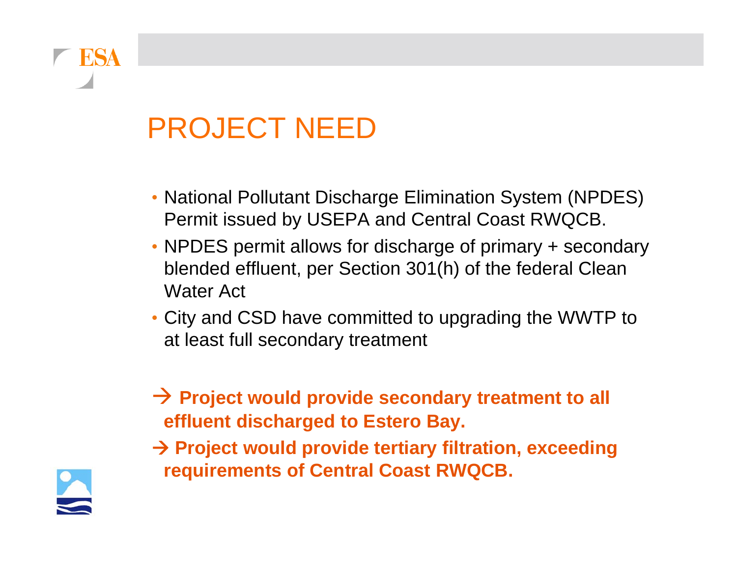### PROJECT NEED

- National Pollutant Discharge Elimination System (NPDES) Permit issued by USEPA and Central Coast RWQCB.
- NPDES permit allows for discharge of primary + secondary blended effluent, per Section 301(h) of the federal Clean Water Act
- City and CSD have committed to upgrading the WWTP to at least full secondary treatment

**→ Project would provide secondary treatment to all effluent discharged to Estero Bay.**

 **Project would provide tertiary filtration, exceeding requirements of Central Coast RWQCB.**



**ESA**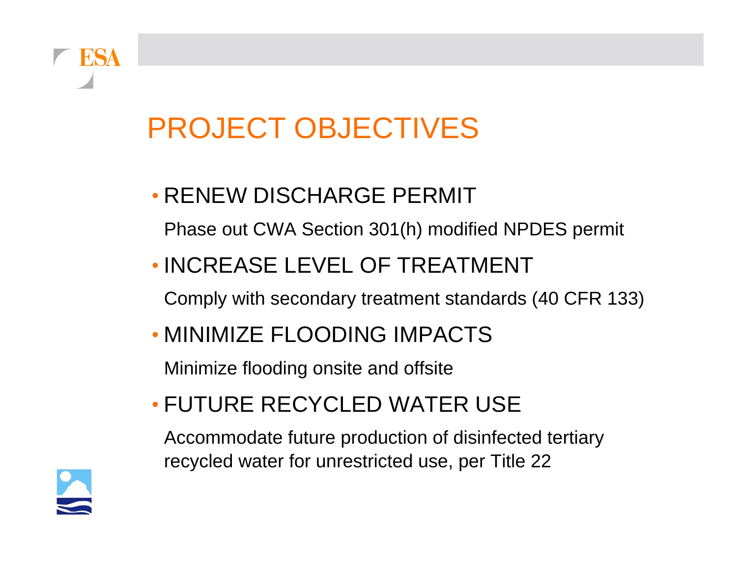# **RSA**

## PROJECT OBJECTIVES

#### • RENEW DISCHARGE PERMIT

Phase out CWA Section 301(h) modified NPDES permit

#### • INCREASE LEVEL OF TREATMENT

Comply with secondary treatment standards (40 CFR 133)

#### • MINIMIZE FLOODING IMPACTS

Minimize flooding onsite and offsite

#### • FUTURE RECYCLED WATER USE

Accommodate future production of disinfected tertiary recycled water for unrestricted use, per Title 22

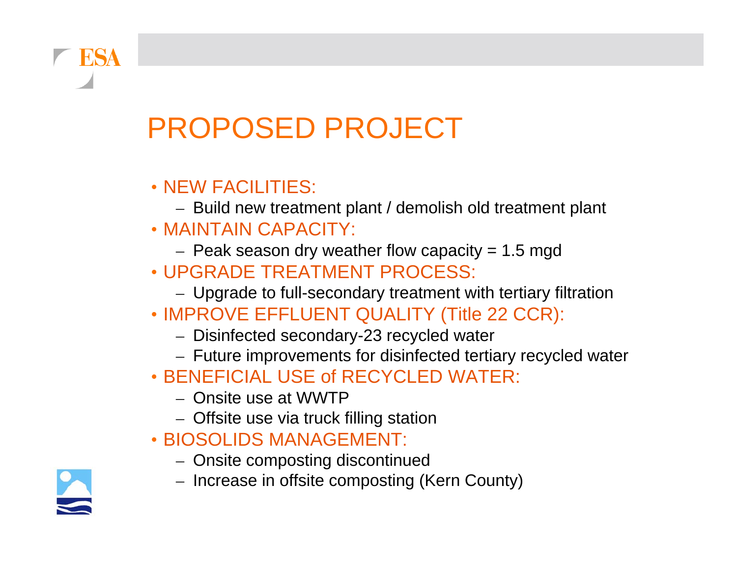## PROPOSED PROJECT

#### • NEW FACILITIES:

– Build new treatment plant / demolish old treatment plant

#### • MAINTAIN CAPACITY:

- $-$  Peak season dry weather flow capacity = 1.5 mgd
- UPGRADE TREATMENT PROCESS:
	- Upgrade to full-secondary treatment with tertiary filtration
- IMPROVE EFFLUENT QUALITY (Title 22 CCR):
	- Disinfected secondary-23 recycled water
	- Future improvements for disinfected tertiary recycled water
- BENEFICIAL USE of RECYCLED WATER:
	- Onsite use at WWTP
	- Offsite use via truck filling station
- BIOSOLIDS MANAGEMENT:
	- Onsite composting discontinued
	- Increase in offsite composting (Kern County)

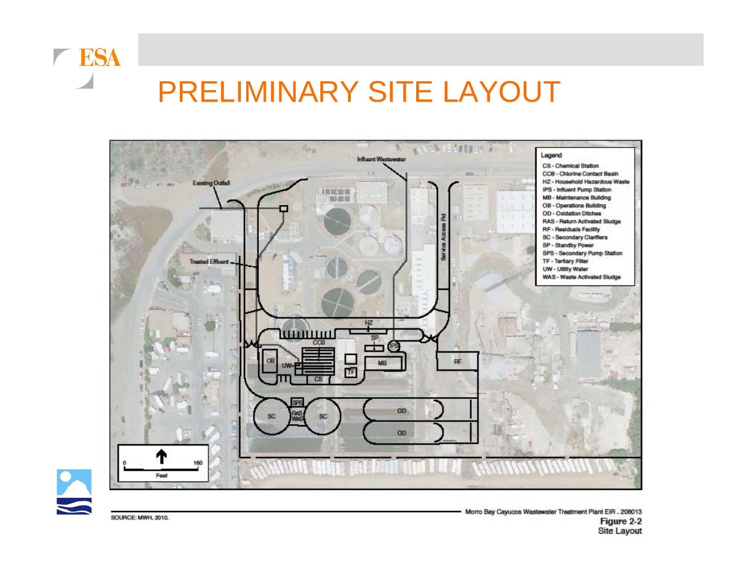

#### PRELIMINARY SITE LAYOUT





**SOURCE: MWH, 2010.**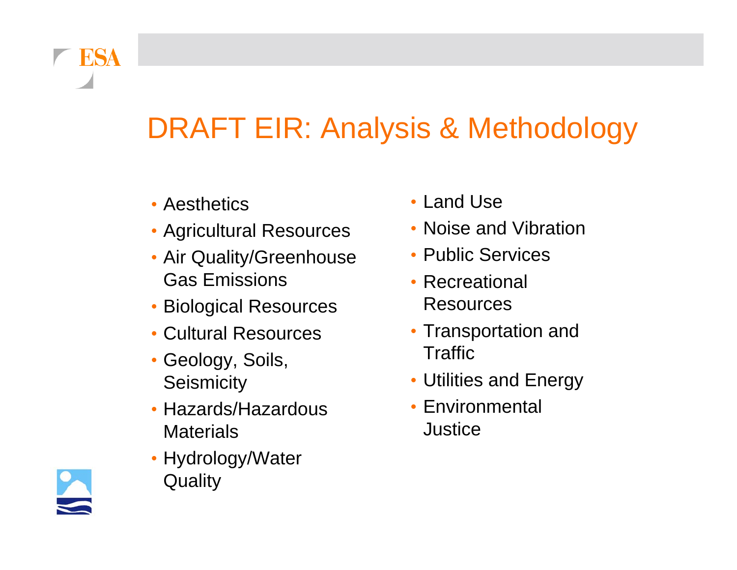

- Aesthetics
- Agricultural Resources
- Air Quality/Greenhouse Gas Emissions
- Biological Resources
- Cultural Resources
- Geology, Soils, **Seismicity**
- Hazards/Hazardous **Materials**
- Hydrology/Water **Quality**
- Land Use
- Noise and Vibration
- Public Services
- Recreational Resources
- Transportation and **Traffic**
- Utilities and Energy
- Environmental Justice

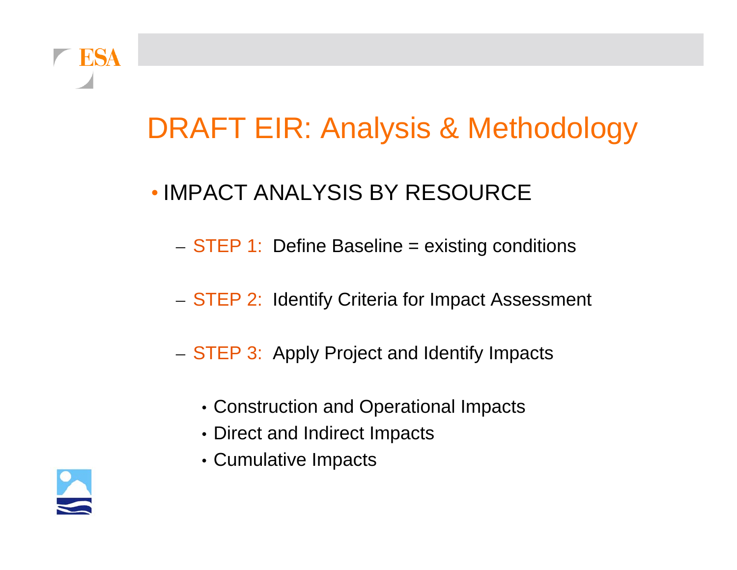

#### • IMPACT ANALYSIS BY RESOURCE

- $-$  STEP 1: Define Baseline = existing conditions
- $-$  STEP 2: Identify Criteria for Impact Assessment
- STEP 3: Apply Project and Identify Impacts
	- Construction and Operational Impacts
	- Direct and Indirect Impacts
	- Cumulative Impacts

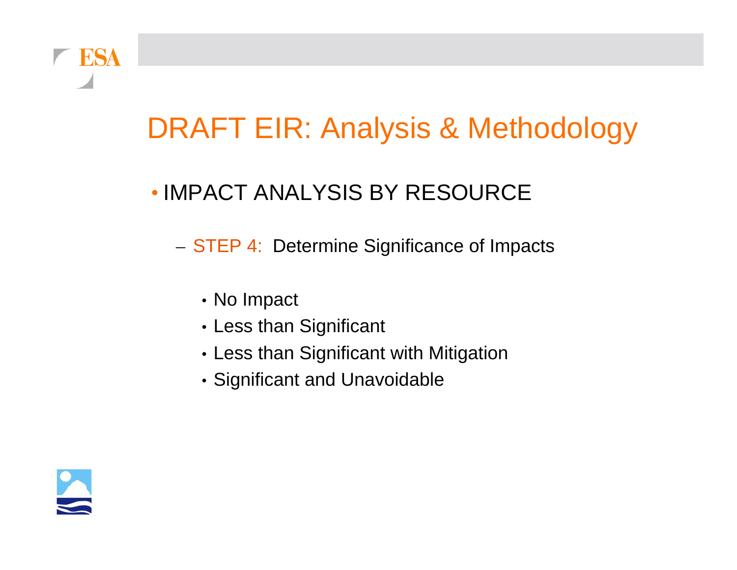

#### • IMPACT ANALYSIS BY RESOURCE

– STEP 4: Determine Significance of Impacts

- No Impact
- Less than Significant
- Less than Significant with Mitigation
- Significant and Unavoidable

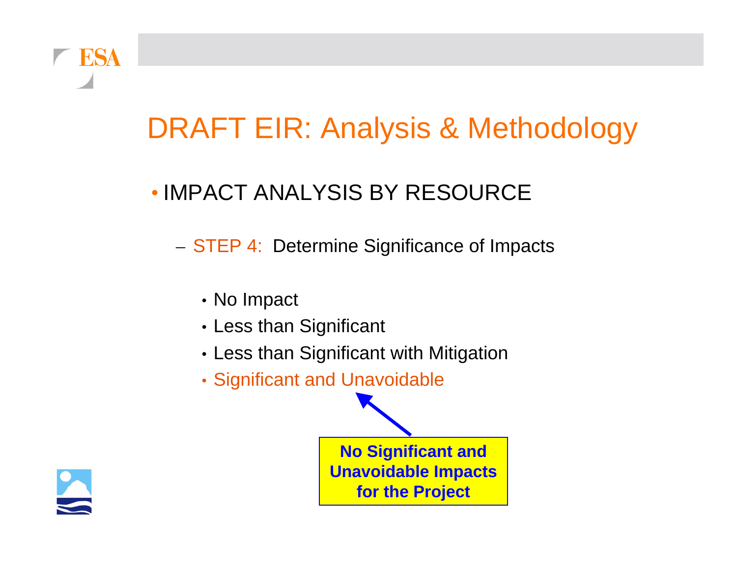

#### • IMPACT ANALYSIS BY RESOURCE

– STEP 4: Determine Significance of Impacts

- No Impact
- Less than Significant
- Less than Significant with Mitigation
- Significant and Unavoidable

**No Significant and Unavoidable Impacts for the Project**

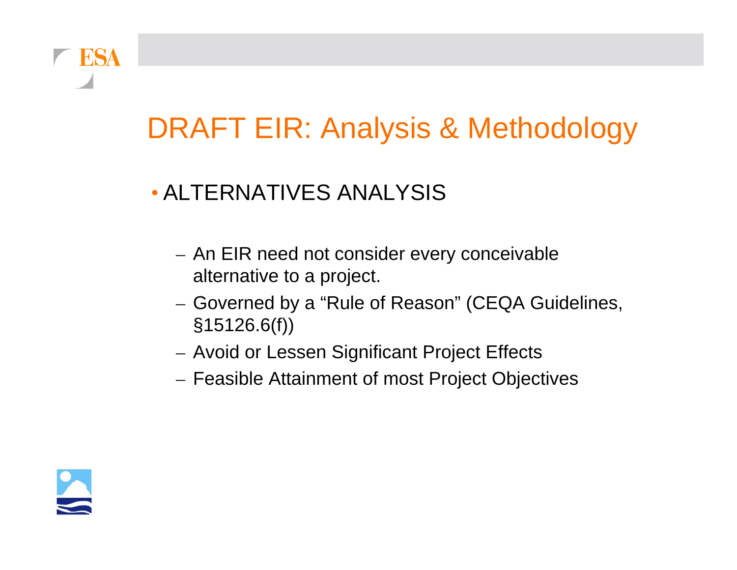

#### • ALTERNATIVES ANALYSIS

- An EIR need not consider every conceivable alternative to a project.
- Governed by a "Rule of Reason" (CEQA Guidelines, §15126.6(f))
- Avoid or Lessen Significant Project Effects
- Feasible Attainment of most Project Objectives

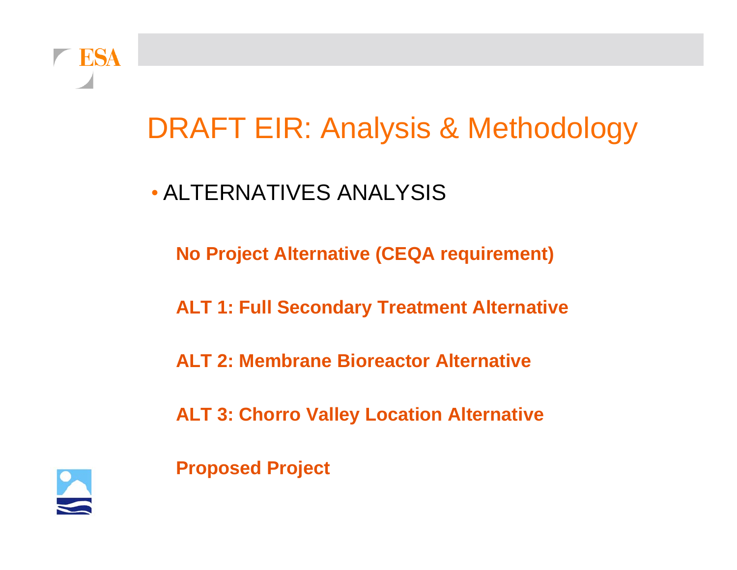

#### • ALTERNATIVES ANALYSIS

**No Project Alternative (CEQA requirement)**

**ALT 1: Full Secondary Treatment Alternative**

**ALT 2: Membrane Bioreactor Alternative**

**ALT 3: Chorro Valley Location Alternative**

**Proposed Project**

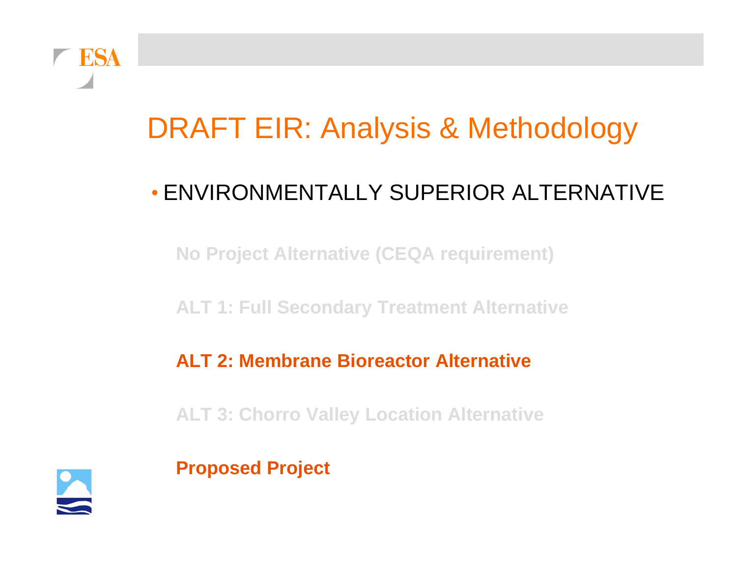

#### • ENVIRONMENTALLY SUPERIOR ALTERNATIVE

**No Project Alternative (CEQA requirement)**

**ALT 1: Full Secondary Treatment Alternative**

**ALT 2: Membrane Bioreactor Alternative**

**ALT 3: Chorro Valley Location Alternative**



**Proposed Project**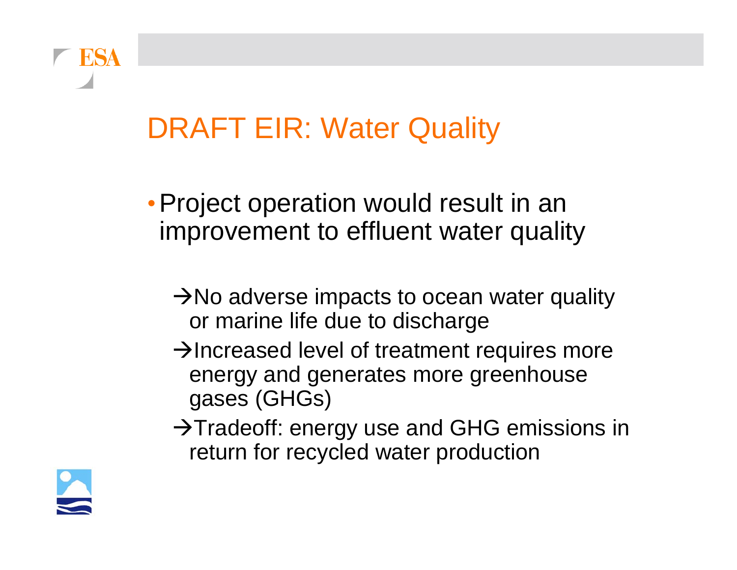### DRAFT EIR: Water Quality

- Project operation would result in an improvement to effluent water quality
	- $\rightarrow$ No adverse impacts to ocean water quality or marine life due to discharge
	- $\rightarrow$  Increased level of treatment requires more energy and generates more greenhouse gases (GHGs)
	- $\rightarrow$ Tradeoff: energy use and GHG emissions in return for recycled water production

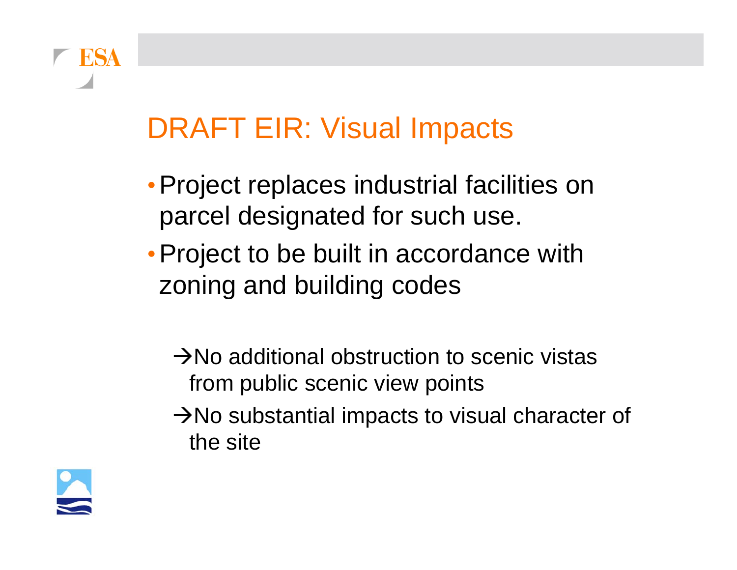## DRAFT EIR: Visual Impacts

- •Project replaces industrial facilities on parcel designated for such use.
- Project to be built in accordance with zoning and building codes
	- $\rightarrow$ No additional obstruction to scenic vistas from public scenic view points
	- $\rightarrow$ No substantial impacts to visual character of the site



**FSA**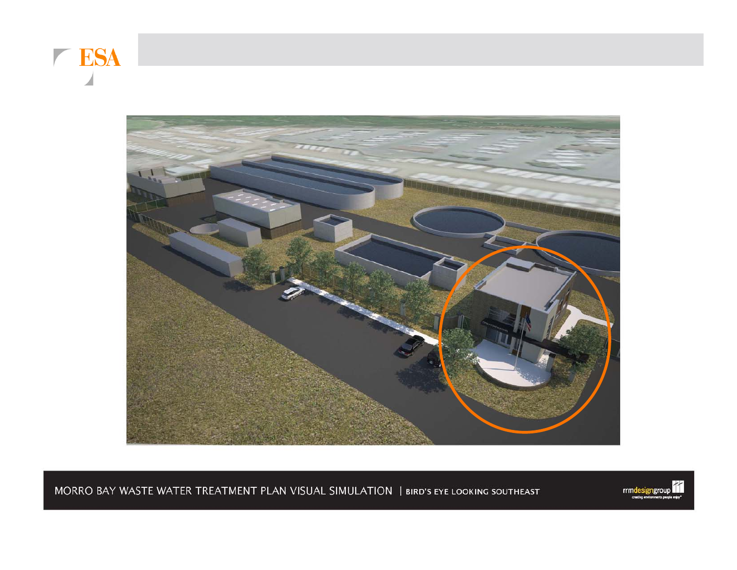



MORRO BAY WASTE WATER TREATMENT PLAN VISUAL SIMULATION | BIRD'S EYE LOOKING SOUTHEAST

rrmdesigngroup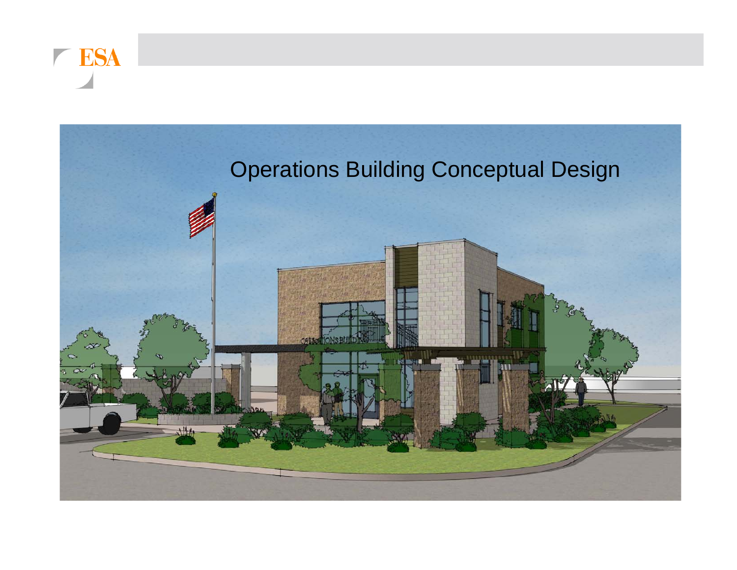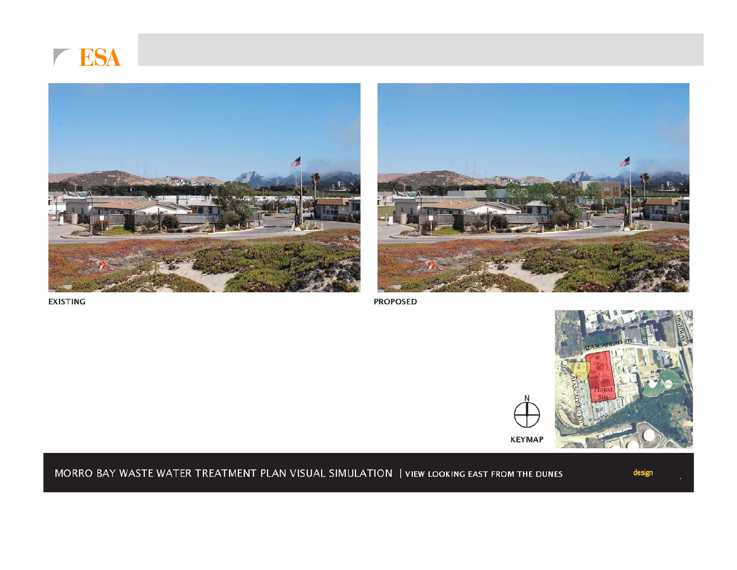





**EXISTING** 

**PROPOSED** 



**KEYMAP** 

#### MORRO BAY WASTE WATER TREATMENT PLAN VISUAL SIMULATION | VIEW LOOKING EAST FROM THE DUNES

design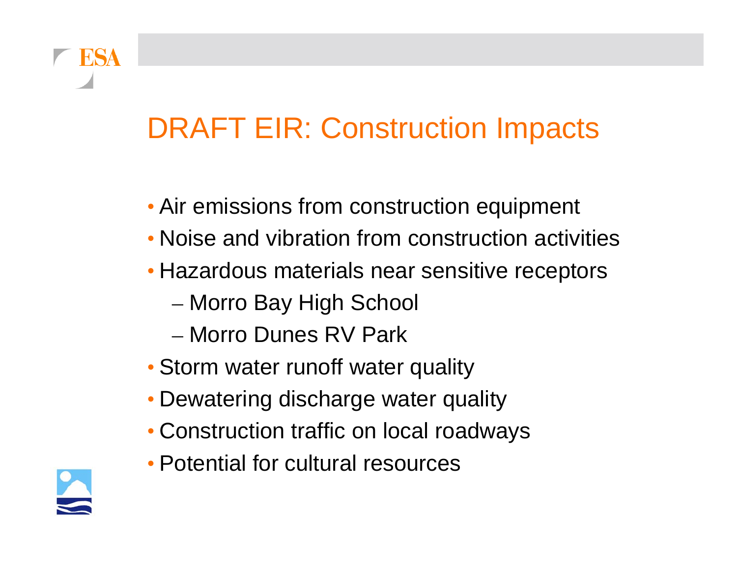### DRAFT EIR: Construction Impacts

- Air emissions from construction equipment
- Noise and vibration from construction activities
- Hazardous materials near sensitive receptors
	- –– Morro Bay High School
	- Morro Dunes RV Park
- Storm water runoff water quality
- Dewatering discharge water quality
- Construction traffic on local roadways
- Potential for cultural resources

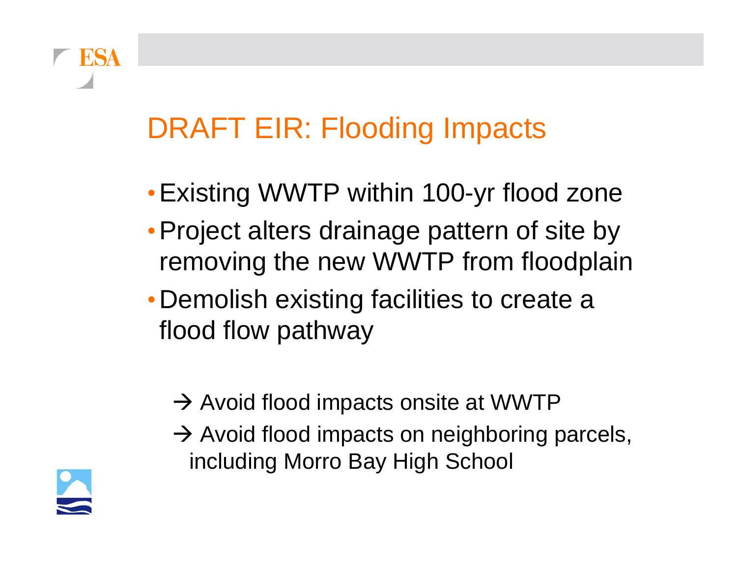## DRAFT EIR: Flooding Impacts

- Existing WWTP within 100-yr flood zone
- •Project alters drainage pattern of site by removing the new WWTP from floodplain
- Demolish existing facilities to create a flood flow pathway
	- $\rightarrow$  Avoid flood impacts onsite at WWTP
	- $\rightarrow$  Avoid flood impacts on neighboring parcels, including Morro Bay High School



ESA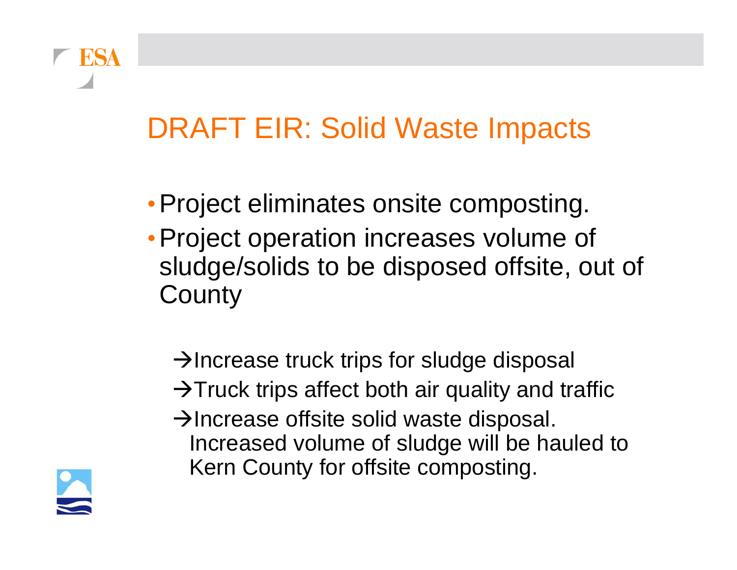### DRAFT EIR: Solid Waste Impacts

- Project eliminates onsite composting.
- •Project operation increases volume of sludge/solids to be disposed offsite, out of **County** 
	- $\rightarrow$ Increase truck trips for sludge disposal
	- $\rightarrow$ Truck trips affect both air quality and traffic
	- $\rightarrow$ Increase offsite solid waste disposal. Increased volume of sludge will be hauled to Kern County for offsite composting.

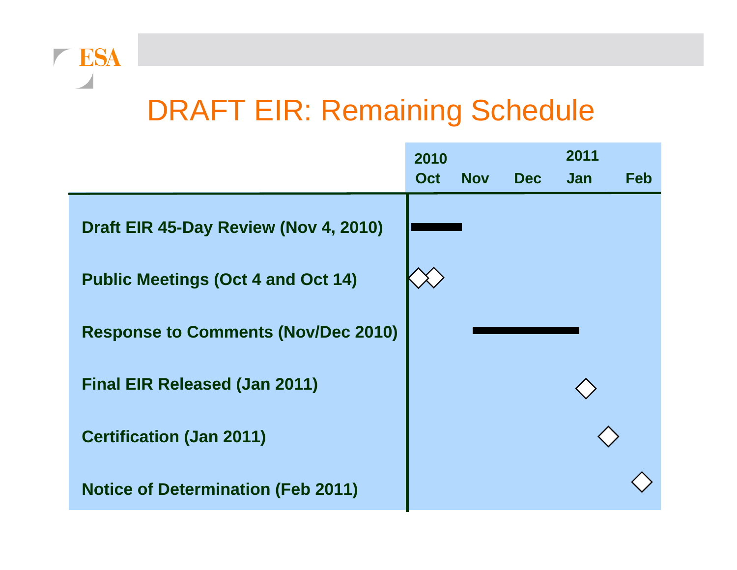#### DRAFT EIR: Remaining Schedule